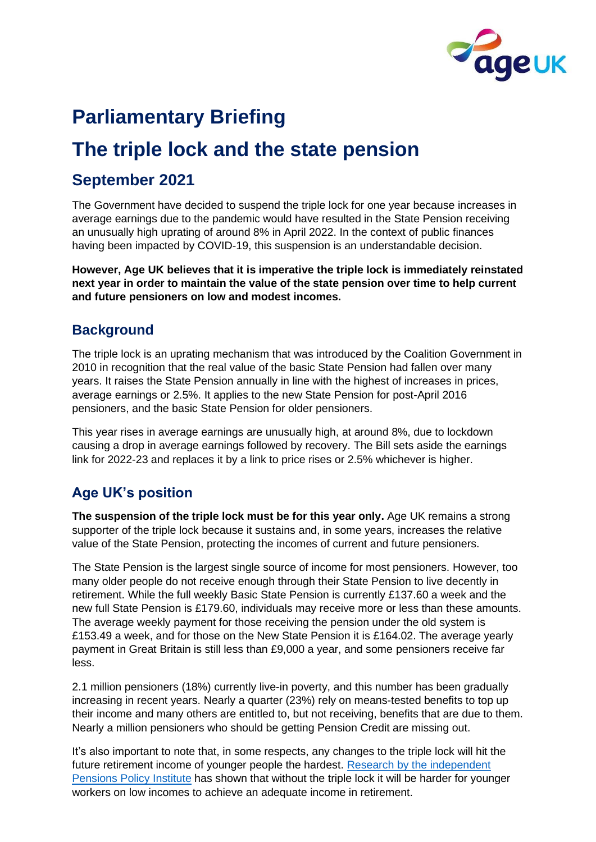

# **Parliamentary Briefing**

## **The triple lock and the state pension**

## **September 2021**

The Government have decided to suspend the triple lock for one year because increases in average earnings due to the pandemic would have resulted in the State Pension receiving an unusually high uprating of around 8% in April 2022. In the context of public finances having been impacted by COVID-19, this suspension is an understandable decision.

**However, Age UK believes that it is imperative the triple lock is immediately reinstated next year in order to maintain the value of the state pension over time to help current and future pensioners on low and modest incomes.**

#### **Background**

The triple lock is an uprating mechanism that was introduced by the Coalition Government in 2010 in recognition that the real value of the basic State Pension had fallen over many years. It raises the State Pension annually in line with the highest of increases in prices, average earnings or 2.5%. It applies to the new State Pension for post-April 2016 pensioners, and the basic State Pension for older pensioners.

This year rises in average earnings are unusually high, at around 8%, due to lockdown causing a drop in average earnings followed by recovery. The Bill sets aside the earnings link for 2022-23 and replaces it by a link to price rises or 2.5% whichever is higher.

### **Age UK's position**

**The suspension of the triple lock must be for this year only.** Age UK remains a strong supporter of the triple lock because it sustains and, in some years, increases the relative value of the State Pension, protecting the incomes of current and future pensioners.

The State Pension is the largest single source of income for most pensioners. However, too many older people do not receive enough through their State Pension to live decently in retirement. While the full weekly Basic State Pension is currently £137.60 a week and the new full State Pension is £179.60, individuals may receive more or less than these amounts. The average weekly payment for those receiving the pension under the old system is £153.49 a week, and for those on the New State Pension it is £164.02. The average yearly payment in Great Britain is still less than £9,000 a year, and some pensioners receive far less.

2.1 million pensioners (18%) currently live-in poverty, and this number has been gradually increasing in recent years. Nearly a quarter (23%) rely on means-tested benefits to top up their income and many others are entitled to, but not receiving, benefits that are due to them. Nearly a million pensioners who should be getting Pension Credit are missing out.

It's also important to note that, in some respects, any changes to the triple lock will hit the future retirement income of younger people the hardest. Research by the independent [Pensions Policy Institute](https://www.pensionspolicyinstitute.org.uk/sponsor-research/research-reports/2018/2018-03-21-how-would-removal-of-the-state-pension-triple-lock-affect-adequacy/) has shown that without the triple lock it will be harder for younger workers on low incomes to achieve an adequate income in retirement.